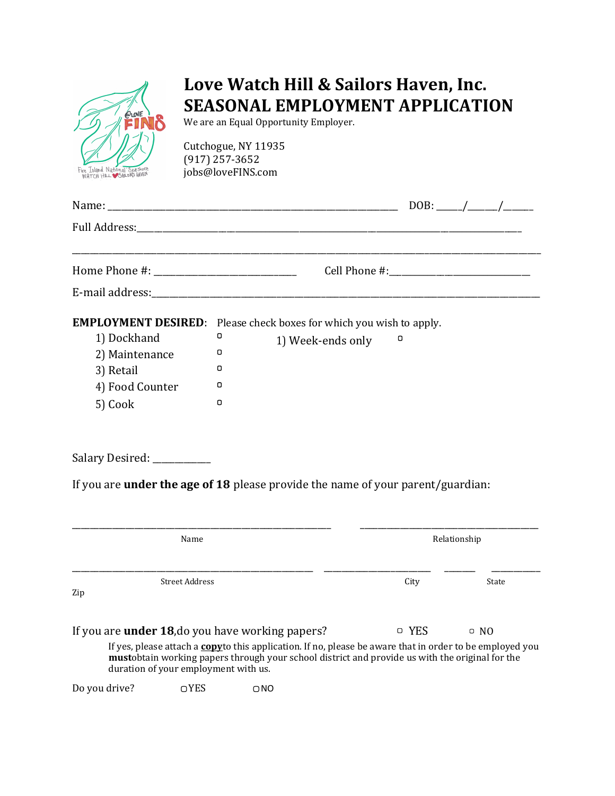

# Love Watch Hill & Sailors Haven, Inc. SEASONAL EMPLOYMENT APPLICATION

We are an Equal Opportunity Employer.

Cutchogue, NY 11935 (917) 257-3652 jobs@loveFINS.com

|                                                                          |                                                                                                                          |              | DOB: $\frac{1}{\sqrt{1-\frac{1}{2}}}\frac{1}{\sqrt{1-\frac{1}{2}}}\frac{1}{\sqrt{1-\frac{1}{2}}}\frac{1}{\sqrt{1-\frac{1}{2}}}\frac{1}{\sqrt{1-\frac{1}{2}}}\frac{1}{\sqrt{1-\frac{1}{2}}}\frac{1}{\sqrt{1-\frac{1}{2}}}\frac{1}{\sqrt{1-\frac{1}{2}}}\frac{1}{\sqrt{1-\frac{1}{2}}}\frac{1}{\sqrt{1-\frac{1}{2}}}\frac{1}{\sqrt{1-\frac{1}{2}}}\frac{1}{\sqrt{1-\frac{1}{2}}}\frac{1}{\sqrt{1-\frac{1}{2}}}\frac{1}{\sqrt$ |
|--------------------------------------------------------------------------|--------------------------------------------------------------------------------------------------------------------------|--------------|-----------------------------------------------------------------------------------------------------------------------------------------------------------------------------------------------------------------------------------------------------------------------------------------------------------------------------------------------------------------------------------------------------------------------------|
|                                                                          |                                                                                                                          |              |                                                                                                                                                                                                                                                                                                                                                                                                                             |
|                                                                          |                                                                                                                          |              |                                                                                                                                                                                                                                                                                                                                                                                                                             |
|                                                                          |                                                                                                                          |              |                                                                                                                                                                                                                                                                                                                                                                                                                             |
| 1) Dockhand<br>2) Maintenance<br>3) Retail<br>4) Food Counter<br>5) Cook | <b>EMPLOYMENT DESIRED:</b> Please check boxes for which you wish to apply.<br>о<br>1) Week-ends only<br>о<br>0<br>0<br>0 | о            |                                                                                                                                                                                                                                                                                                                                                                                                                             |
| Salary Desired: ___________                                              |                                                                                                                          |              |                                                                                                                                                                                                                                                                                                                                                                                                                             |
|                                                                          | If you are under the age of 18 please provide the name of your parent/guardian:                                          |              |                                                                                                                                                                                                                                                                                                                                                                                                                             |
| Name                                                                     |                                                                                                                          | Relationship |                                                                                                                                                                                                                                                                                                                                                                                                                             |
| <b>Street Address</b><br>Zip                                             |                                                                                                                          | City         | State                                                                                                                                                                                                                                                                                                                                                                                                                       |

If you are **under 18**, do you have working papers?  $Q = YES$   $Q = NO$ 

If yes, please attach a **copy**to this application. If no, please be aware that in order to be employed you mustobtain working papers through your school district and provide us with the original for the duration of your employment with us.

Do you drive? **QUADE CONS**